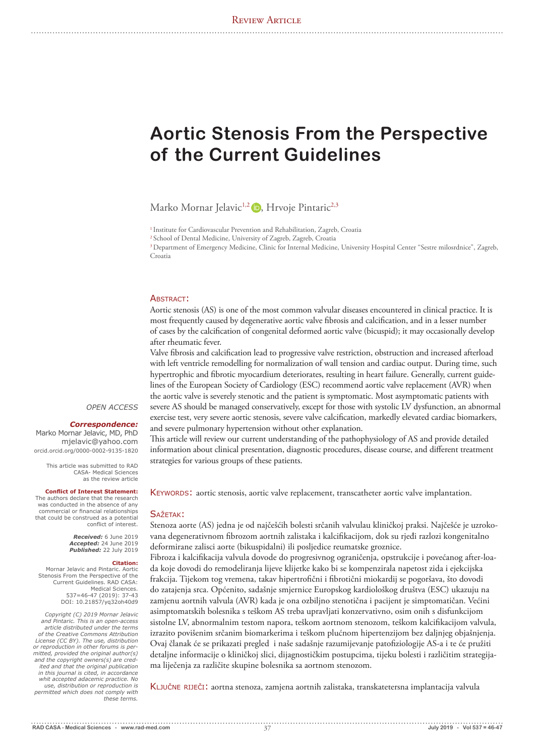# **Aortic Stenosis From the Perspective of the Current Guidelines**

Marko Mornar Jelavic<sup>1,2</sup> D, Hrvoje Pintaric<sup>2,3</sup>

<sup>1</sup> Institute for Cardiovascular Prevention and Rehabilitation, Zagreb, Croatia

2 School of Dental Medicine, University of Zagreb, Zagreb, Croatia

3 Department of Emergency Medicine, Clinic for Internal Medicine, University Hospital Center "Sestre milosrdnice", Zagreb, Croatia

#### ABSTRACT:

Aortic stenosis (AS) is one of the most common valvular diseases encountered in clinical practice. It is most frequently caused by degenerative aortic valve fibrosis and calcification, and in a lesser number of cases by the calcification of congenital deformed aortic valve (bicuspid); it may occasionally develop after rheumatic fever.

Valve fibrosis and calcification lead to progressive valve restriction, obstruction and increased afterload with left ventricle remodelling for normalization of wall tension and cardiac output. During time, such hypertrophic and fibrotic myocardium deteriorates, resulting in heart failure. Generally, current guidelines of the European Society of Cardiology (ESC) recommend aortic valve replacement (AVR) when the aortic valve is severely stenotic and the patient is symptomatic. Most asymptomatic patients with severe AS should be managed conservatively, except for those with systolic LV dysfunction, an abnormal exercise test, very severe aortic stenosis, severe valve calcification, markedly elevated cardiac biomarkers, and severe pulmonary hypertension without other explanation.

This article will review our current understanding of the pathophysiology of AS and provide detailed information about clinical presentation, diagnostic procedures, disease course, and different treatment strategies for various groups of these patients.

KEYWORDS: aortic stenosis, aortic valve replacement, transcatheter aortic valve implantation.

#### SAŽETAK:

Stenoza aorte (AS) jedna je od najčešćih bolesti srčanih valvulau kliničkoj praksi. Najčešće je uzrokovana degenerativnom fibrozom aortnih zalistaka i kalcifikacijom, dok su rjeđi razlozi kongenitalno deformirane zalisci aorte (bikuspidalni) ili posljedice reumatske groznice.

Fibroza i kalcifikacija valvula dovode do progresivnog ograničenja, opstrukcije i povećanog after-loada koje dovodi do remodeliranja lijeve klijetke kako bi se kompenzirala napetost zida i ejekcijska frakcija. Tijekom tog vremena, takav hipertrofični i fibrotični miokardij se pogoršava, što dovodi do zatajenja srca. Općenito, sadašnje smjernice Europskog kardiološkog društva (ESC) ukazuju na zamjenu aortnih valvula (AVR) kada je ona ozbiljno stenotična i pacijent je simptomatičan. Većini asimptomatskih bolesnika s teškom AS treba upravljati konzervativno, osim onih s disfunkcijom sistolne LV, abnormalnim testom napora, teškom aortnom stenozom, teškom kalcifikacijom valvula, izrazito povišenim srčanim biomarkerima i teškom plućnom hipertenzijom bez daljnjeg objašnjenja. Ovaj članak će se prikazati pregled i naše sadašnje razumijevanje patofiziologije AS-a i te će pružiti detaljne informacije o kliničkoj slici, dijagnostičkim postupcima, tijeku bolesti i različitim strategijama liječenja za različite skupine bolesnika sa aortnom stenozom.

Ključne riječi: aortna stenoza, zamjena aortnih zalistaka, transkatetersna implantacija valvula

#### *OPEN ACCESS*

#### *Correspondence:*

Marko Mornar Jelavic, MD, PhD mjelavic@yahoo.com orcid.orcid.org/0000-0002-9135-1820

This article was submitted to RAD CASA- Medical Sciences as the review article

#### **Conflict of Interest Statement:**

The authors declare that the research was conducted in the absence of any commercial or financial relationships that could be construed as a potential conflict of interest.

> *Received:* 6 June 2019 *Accepted:* 24 June 2019 *Published:* 22 July 2019

#### **Citation:**

Mornar Jelavic and Pintaric. Aortic Stenosis From the Perspective of the Current Guidelines. RAD CASA: Medical Sciences. 537=46-47 (2019): 37-43 DOI: 10.21857/yq32oh40d9

*Copyright (C) 2019 Mornar Jelavic and Pintaric. This is an open-access article distributed under the terms of the Creative Commons Attribution License (CC BY). The use, distribution or reproduction in other forums is permitted, provided the original author(s) and the copyright owners(s) are credited and that the original publication in this journal is cited, in accordance whit accepted adacemic practice. No use, distribution or reproduction is permitted which does not comply with these terms.*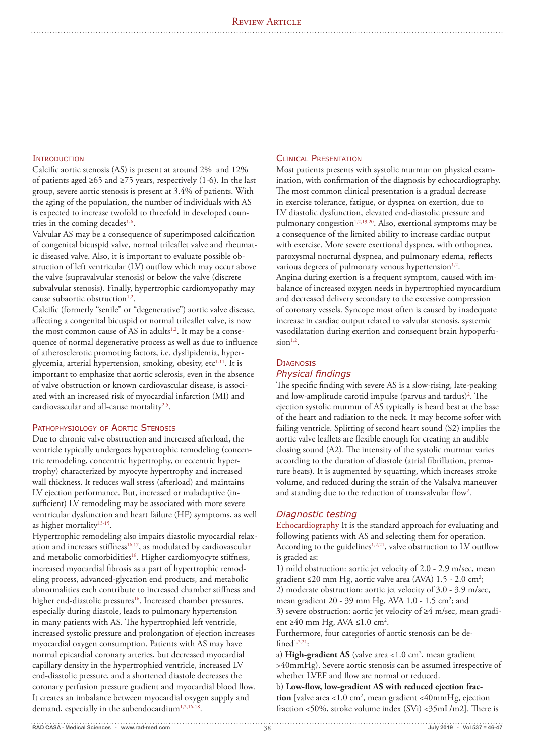# **INTRODUCTION**

Calcific aortic stenosis (AS) is present at around 2% and 12% of patients aged ≥65 and ≥75 years, respectively (1-6). In the last group, severe aortic stenosis is present at 3.4% of patients. With the aging of the population, the number of individuals with AS is expected to increase twofold to threefold in developed countries in the coming decades<sup>1-6</sup>.

Valvular AS may be a consequence of superimposed calcification of congenital bicuspid valve, normal trileaflet valve and rheumatic diseased valve. Also, it is important to evaluate possible obstruction of left ventricular (LV) outflow which may occur above the valve (supravalvular stenosis) or below the valve (discrete subvalvular stenosis). Finally, hypertrophic cardiomyopathy may cause subaortic obstruction<sup>1,2</sup>.

Calcific (formerly "senile" or "degenerative") aortic valve disease, affecting a congenital bicuspid or normal trileaflet valve, is now the most common cause of AS in adults<sup>1,2</sup>. It may be a consequence of normal degenerative process as well as due to influence of atherosclerotic promoting factors, i.e. dyslipidemia, hyperglycemia, arterial hypertension, smoking, obesity, etc<sup>1-11</sup>. It is important to emphasize that aortic sclerosis, even in the absence of valve obstruction or known cardiovascular disease, is associated with an increased risk of myocardial infarction (MI) and cardiovascular and all-cause mortality<sup>2,5</sup>.

# Pathophysiology of Aortic Stenosis

Due to chronic valve obstruction and increased afterload, the ventricle typically undergoes hypertrophic remodeling (concentric remodeling, concentric hypertrophy, or eccentric hypertrophy) characterized by myocyte hypertrophy and increased wall thickness. It reduces wall stress (afterload) and maintains LV ejection performance. But, increased or maladaptive (insufficient) LV remodeling may be associated with more severe ventricular dysfunction and heart failure (HF) symptoms, as well as higher mortality<sup>13-15</sup>.

Hypertrophic remodeling also impairs diastolic myocardial relaxation and increases stiffness $16,17$ , as modulated by cardiovascular and metabolic comorbidities<sup>18</sup>. Higher cardiomyocyte stiffness, increased myocardial fibrosis as a part of hypertrophic remodeling process, advanced-glycation end products, and metabolic abnormalities each contribute to increased chamber stiffness and higher end-diastolic pressures<sup>16</sup>. Increased chamber pressures, especially during diastole, leads to pulmonary hypertension in many patients with AS. The hypertrophied left ventricle, increased systolic pressure and prolongation of ejection increases myocardial oxygen consumption. Patients with AS may have normal epicardial coronary arteries, but decreased myocardial capillary density in the hypertrophied ventricle, increased LV end-diastolic pressure, and a shortened diastole decreases the coronary perfusion pressure gradient and myocardial blood flow. It creates an imbalance between myocardial oxygen supply and demand, especially in the subendocardium<sup>1,2,16-18</sup>.

## Clinical Presentation

Most patients presents with systolic murmur on physical examination, with confirmation of the diagnosis by echocardiography. The most common clinical presentation is a gradual decrease in exercise tolerance, fatigue, or dyspnea on exertion, due to LV diastolic dysfunction, elevated end-diastolic pressure and pulmonary congestion<sup>1,2,19,20</sup>. Also, exertional symptoms may be a consequence of the limited ability to increase cardiac output with exercise. More severe exertional dyspnea, with orthopnea, paroxysmal nocturnal dyspnea, and pulmonary edema, reflects various degrees of pulmonary venous hypertension<sup>1,2</sup>. Angina during exertion is a frequent symptom, caused with imbalance of increased oxygen needs in hypertrophied myocardium and decreased delivery secondary to the excessive compression of coronary vessels. Syncope most often is caused by inadequate increase in cardiac output related to valvular stenosis, systemic vasodilatation during exertion and consequent brain hypoperfu $sion<sup>1,2</sup>$ .

# **DIAGNOSIS**

# *Physical findings*

The specific finding with severe AS is a slow-rising, late-peaking and low-amplitude carotid impulse (parvus and tardus)<sup>2</sup>. The ejection systolic murmur of AS typically is heard best at the base of the heart and radiation to the neck. It may become softer with failing ventricle. Splitting of second heart sound (S2) implies the aortic valve leaflets are flexible enough for creating an audible closing sound (A2). The intensity of the systolic murmur varies according to the duration of diastole (atrial fibrillation, premature beats). It is augmented by squatting, which increases stroke volume, and reduced during the strain of the Valsalva maneuver and standing due to the reduction of transvalvular flow<sup>2</sup>.

## *Diagnostic testing*

Echocardiography It is the standard approach for evaluating and following patients with AS and selecting them for operation. According to the guidelines<sup>1,2,21</sup>, valve obstruction to LV outflow is graded as:

1) mild obstruction: aortic jet velocity of 2.0 - 2.9 m/sec, mean gradient ≤20 mm Hg, aortic valve area (AVA)  $1.5$  - 2.0 cm<sup>2</sup>; 2) moderate obstruction: aortic jet velocity of 3.0 - 3.9 m/sec, mean gradient 20 - 39 mm Hg, AVA 1.0 - 1.5 cm<sup>2</sup>; and 3) severe obstruction: aortic jet velocity of ≥4 m/sec, mean gradient ≥40 mm Hg, AVA ≤1.0 cm<sup>2</sup>.

Furthermore, four categories of aortic stenosis can be de $find<sup>1,2,21</sup>$ :

a) High-gradient AS (valve area <1.0 cm<sup>2</sup>, mean gradient >40mmHg). Severe aortic stenosis can be assumed irrespective of whether LVEF and flow are normal or reduced.

b) **Low-flow, low-gradient AS with reduced ejection fraction** [valve area <1.0  $\text{cm}^2$ , mean gradient <40mmHg, ejection fraction <50%, stroke volume index (SVi) <35mL/m2]. There is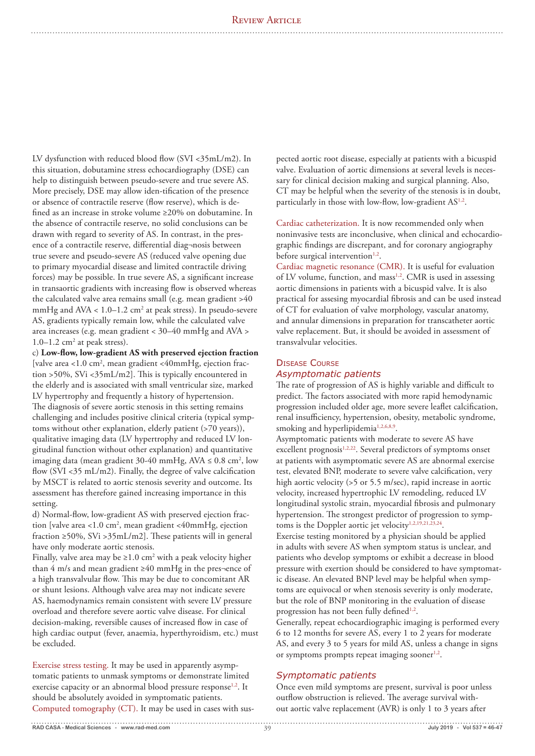LV dysfunction with reduced blood flow (SVI <35mL/m2). In this situation, dobutamine stress echocardiography (DSE) can help to distinguish between pseudo-severe and true severe AS. More precisely, DSE may allow iden-tification of the presence or absence of contractile reserve (flow reserve), which is defined as an increase in stroke volume ≥20% on dobutamine. In the absence of contractile reserve, no solid conclusions can be drawn with regard to severity of AS. In contrast, in the presence of a contractile reserve, differential diag¬nosis between true severe and pseudo-severe AS (reduced valve opening due to primary myocardial disease and limited contractile driving forces) may be possible. In true severe AS, a significant increase in transaortic gradients with increasing flow is observed whereas the calculated valve area remains small (e.g. mean gradient >40 mmHg and  $AVA < 1.0 - 1.2$  cm<sup>2</sup> at peak stress). In pseudo-severe AS, gradients typically remain low, while the calculated valve area increases (e.g. mean gradient < 30–40 mmHg and AVA > 1.0–1.2 cm2 at peak stress).

c) **Low-flow, low-gradient AS with preserved ejection fraction**  [valve area <1.0 cm<sup>2</sup>, mean gradient <40mmHg, ejection fraction >50%, SVi <35mL/m2]. This is typically encountered in the elderly and is associated with small ventricular size, marked LV hypertrophy and frequently a history of hypertension. The diagnosis of severe aortic stenosis in this setting remains challenging and includes positive clinical criteria (typical symptoms without other explanation, elderly patient (>70 years)), qualitative imaging data (LV hypertrophy and reduced LV longitudinal function without other explanation) and quantitative imaging data (mean gradient 30-40 mmHg,  $AVA \le 0.8$  cm<sup>2</sup>, low flow (SVI  $<$ 35 mL/m2). Finally, the degree of valve calcification by MSCT is related to aortic stenosis severity and outcome. Its assessment has therefore gained increasing importance in this setting.

d) Normal-flow, low-gradient AS with preserved ejection fraction [valve area <1.0 cm<sup>2</sup>, mean gradient <40mmHg, ejection fraction ≥50%, SVi >35mL/m2]. These patients will in general have only moderate aortic stenosis.

Finally, valve area may be  $\geq 1.0$  cm<sup>2</sup> with a peak velocity higher than 4 m/s and mean gradient ≥40 mmHg in the pres¬ence of a high transvalvular flow. This may be due to concomitant AR or shunt lesions. Although valve area may not indicate severe AS, haemodynamics remain consistent with severe LV pressure overload and therefore severe aortic valve disease. For clinical decision-making, reversible causes of increased flow in case of high cardiac output (fever, anaemia, hyperthyroidism, etc.) must be excluded.

Exercise stress testing. It may be used in apparently asymptomatic patients to unmask symptoms or demonstrate limited exercise capacity or an abnormal blood pressure response<sup>1,2</sup>. It should be absolutely avoided in symptomatic patients. Computed tomography (CT). It may be used in cases with suspected aortic root disease, especially at patients with a bicuspid valve. Evaluation of aortic dimensions at several levels is necessary for clinical decision making and surgical planning. Also, CT may be helpful when the severity of the stenosis is in doubt, particularly in those with low-flow, low-gradient AS<sup>1,2</sup>.

Cardiac catheterization. It is now recommended only when noninvasive tests are inconclusive, when clinical and echocardiographic findings are discrepant, and for coronary angiography before surgical intervention<sup>1,2</sup>.

Cardiac magnetic resonance (CMR). It is useful for evaluation of LV volume, function, and mass<sup>1,2</sup>. CMR is used in assessing aortic dimensions in patients with a bicuspid valve. It is also practical for assesing myocardial fibrosis and can be used instead of CT for evaluation of valve morphology, vascular anatomy, and annular dimensions in preparation for transcatheter aortic valve replacement. But, it should be avoided in assessment of transvalvular velocities.

# Disease Course *Asymptomatic patients*

The rate of progression of AS is highly variable and difficult to predict. The factors associated with more rapid hemodynamic progression included older age, more severe leaflet calcification, renal insufficiency, hypertension, obesity, metabolic syndrome, smoking and hyperlipidemia<sup>1,2,6,8,9</sup>.

Asymptomatic patients with moderate to severe AS have excellent prognosis $1,2,22$ . Several predictors of symptoms onset at patients with asymptomatic severe AS are abnormal exercise test, elevated BNP, moderate to severe valve calcification, very high aortic velocity (>5 or 5.5 m/sec), rapid increase in aortic velocity, increased hypertrophic LV remodeling, reduced LV longitudinal systolic strain, myocardial fibrosis and pulmonary hypertension. The strongest predictor of progression to symptoms is the Doppler aortic jet velocity<sup>1,2,19,21,23,24</sup>.

Exercise testing monitored by a physician should be applied in adults with severe AS when symptom status is unclear, and patients who develop symptoms or exhibit a decrease in blood pressure with exertion should be considered to have symptomatic disease. An elevated BNP level may be helpful when symptoms are equivocal or when stenosis severity is only moderate, but the role of BNP monitoring in the evaluation of disease progression has not been fully defined<sup>1,2</sup>.

Generally, repeat echocardiographic imaging is performed every 6 to 12 months for severe AS, every 1 to 2 years for moderate AS, and every 3 to 5 years for mild AS, unless a change in signs or symptoms prompts repeat imaging sooner $1,2$ .

# *Symptomatic patients*

Once even mild symptoms are present, survival is poor unless outflow obstruction is relieved. The average survival without aortic valve replacement (AVR) is only 1 to 3 years after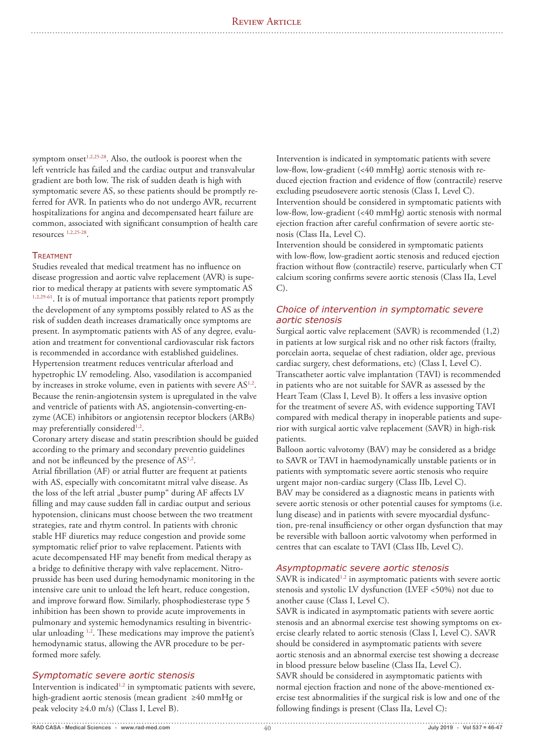symptom onset $1,2,25-28$ . Also, the outlook is poorest when the left ventricle has failed and the cardiac output and transvalvular gradient are both low. The risk of sudden death is high with symptomatic severe AS, so these patients should be promptly referred for AVR. In patients who do not undergo AVR, recurrent hospitalizations for angina and decompensated heart failure are common, associated with significant consumption of health care resources 1,2,25-28.

## **TREATMENT**

Studies revealed that medical treatment has no influence on disease progression and aortic valve replacement (AVR) is superior to medical therapy at patients with severe symptomatic AS 1,2,29-61. It is of mutual importance that patients report promptly the development of any symptoms possibly related to AS as the risk of sudden death increases dramatically once symptoms are present. In asymptomatic patients with AS of any degree, evaluation and treatment for conventional cardiovascular risk factors is recommended in accordance with established guidelines. Hypertension treatment reduces ventricular afterload and hypetrophic LV remodeling. Also, vasodilation is accompanied by increases in stroke volume, even in patients with severe AS<sup>1,2</sup>. Because the renin-angiotensin system is upregulated in the valve and ventricle of patients with AS, angiotensin-converting-enzyme (ACE) inhibitors or angiotensin receptor blockers (ARBs) may preferentially considered<sup>1,2</sup>.

Coronary artery disease and statin prescribtion should be guided according to the primary and secondary preventio guidelines and not be infleunced by the presence of AS1,2.

Atrial fibrillation (AF) or atrial flutter are frequent at patients with AS, especially with concomitatnt mitral valve disease. As the loss of the left atrial "buster pump" during AF affects LV filling and may cause sudden fall in cardiac output and serious hypotension, clinicans must choose between the two treatment strategies, rate and rhytm control. In patients with chronic stable HF diuretics may reduce congestion and provide some symptomatic relief prior to valve replacement. Patients with acute decompensated HF may benefit from medical therapy as a bridge to definitive therapy with valve replacement. Nitroprusside has been used during hemodynamic monitoring in the intensive care unit to unload the left heart, reduce congestion, and improve forward flow. Similarly, phosphodiesterase type 5 inhibition has been shown to provide acute improvements in pulmonary and systemic hemodynamics resulting in biventricular unloading <sup>1,2</sup>. These medications may improve the patient's hemodynamic status, allowing the AVR procedure to be performed more safely.

# *Symptomatic severe aortic stenosis*

Intervention is indicated<sup>1,2</sup> in symptomatic patients with severe, high-gradient aortic stenosis (mean gradient ≥40 mmHg or peak velocity  $\geq 4.0$  m/s) (Class I, Level B).

Intervention is indicated in symptomatic patients with severe low-flow, low-gradient (<40 mmHg) aortic stenosis with reduced ejection fraction and evidence of flow (contractile) reserve excluding pseudosevere aortic stenosis (Class I, Level C). Intervention should be considered in symptomatic patients with low-flow, low-gradient (<40 mmHg) aortic stenosis with normal ejection fraction after careful confirmation of severe aortic stenosis (Class IIa, Level C).

Intervention should be considered in symptomatic patients with low-flow, low-gradient aortic stenosis and reduced ejection fraction without flow (contractile) reserve, particularly when CT calcium scoring confirms severe aortic stenosis (Class IIa, Level C).

# *Choice of intervention in symptomatic severe aortic stenosis*

Surgical aortic valve replacement (SAVR) is recommended (1,2) in patients at low surgical risk and no other risk factors (frailty, porcelain aorta, sequelae of chest radiation, older age, previous cardiac surgery, chest deformations, etc) (Class I, Level C). Transcatheter aortic valve implantation (TAVI) is recommended in patients who are not suitable for SAVR as assessed by the Heart Team (Class I, Level B). It offers a less invasive option for the treatment of severe AS, with evidence supporting TAVI compared with medical therapy in inoperable patients and superior with surgical aortic valve replacement (SAVR) in high-risk patients.

Balloon aortic valvotomy (BAV) may be considered as a bridge to SAVR or TAVI in haemodynamically unstable patients or in patients with symptomatic severe aortic stenosis who require urgent major non-cardiac surgery (Class IIb, Level C). BAV may be considered as a diagnostic means in patients with severe aortic stenosis or other potential causes for symptoms (i.e. lung disease) and in patients with severe myocardial dysfunction, pre-renal insufficiency or other organ dysfunction that may be reversible with balloon aortic valvotomy when performed in centres that can escalate to TAVI (Class IIb, Level C).

## *Asymptopmatic severe aortic stenosis*

SAVR is indicated<sup>1,2</sup> in asymptomatic patients with severe aortic stenosis and systolic LV dysfunction (LVEF <50%) not due to another cause (Class I, Level C).

SAVR is indicated in asymptomatic patients with severe aortic stenosis and an abnormal exercise test showing symptoms on exercise clearly related to aortic stenosis (Class I, Level C). SAVR should be considered in asymptomatic patients with severe aortic stenosis and an abnormal exercise test showing a decrease in blood pressure below baseline (Class IIa, Level C). SAVR should be considered in asymptomatic patients with normal ejection fraction and none of the above-mentioned exercise test abnormalities if the surgical risk is low and one of the following findings is present (Class IIa, Level C):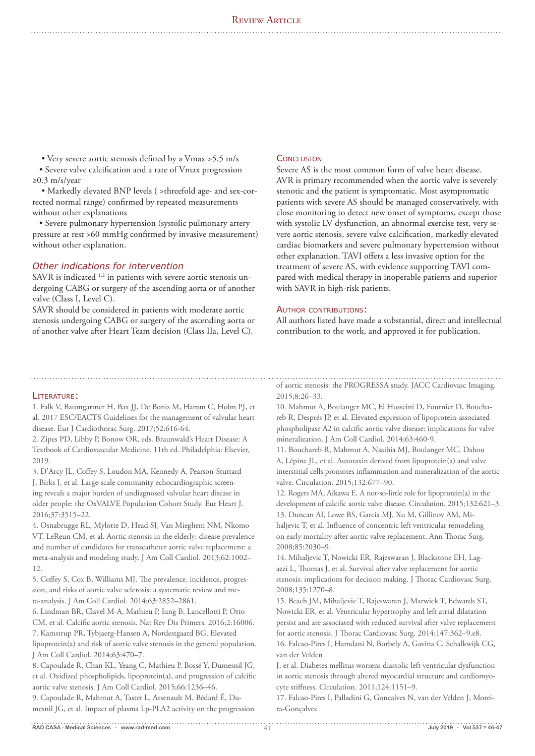• Very severe aortic stenosis defined by a Vmax >5.5 m/s

 • Severe valve calcification and a rate of Vmax progression ≥0.3 m/s/year

 • Markedly elevated BNP levels ( >threefold age- and sex-corrected normal range) confirmed by repeated measurements without other explanations

 • Severe pulmonary hypertension (systolic pulmonary artery pressure at rest >60 mmHg confirmed by invasive measurement) without other explanation.

# *Other indications for intervention*

SAVR is indicated <sup>1,2</sup> in patients with severe aortic stenosis undergoing CABG or surgery of the ascending aorta or of another valve (Class I, Level C).

SAVR should be considered in patients with moderate aortic stenosis undergoing CABG or surgery of the ascending aorta or of another valve after Heart Team decision (Class IIa, Level C).

## **CONCLUSION**

Severe AS is the most common form of valve heart disease. AVR is primary recommended when the aortic valve is severely stenotic and the patient is symptomatic. Most asymptomatic patients with severe AS should be managed conservatively, with close monitoring to detect new onset of symptoms, except those with systolic LV dysfunction, an abnormal exercise test, very severe aortic stenosis, severe valve calcification, markedly elevated cardiac biomarkers and severe pulmonary hypertension without other explanation. TAVI offers a less invasive option for the treatment of severe AS, with evidence supporting TAVI compared with medical therapy in inoperable patients and superior with SAVR in high-risk patients.

## AUTHOR CONTRIBUTIONS:

All authors listed have made a substantial, direct and intellectual contribution to the work, and approved it for publication.

# Literature:

1. Falk V, Baumgartner H, Bax JJ, De Bonis M, Hamm C, Holm PJ, et al. 2017 ESC/EACTS Guidelines for the management of valvular heart disease. Eur J Cardiothorac Surg. 2017;52:616-64.

2. Zipes PD, Libby P, Bonow OR, eds. Braunwald's Heart Disease: A Textbook of Cardiovascular Medicine. 11th ed. Philadelphia: Elsevier, 2019.

3. D'Arcy JL, Coffey S, Loudon MA, Kennedy A, Pearson-Stuttard J, Birks J, et al. Large-scale community echocardiographic screening reveals a major burden of undiagnosed valvular heart disease in older people: the OxVALVE Population Cohort Study. Eur Heart J. 2016;37:3515–22.

4. Osnabrugge RL, Mylotte D, Head SJ, Van Mieghem NM, Nkomo VT, LeReun CM, et al. Aortic stenosis in the elderly: disease prevalence and number of candidates for transcatheter aortic valve replacement: a meta-analysis and modeling study. J Am Coll Cardiol. 2013;62:1002– 12.

5. Coffey S, Cox B, Williams MJ. The prevalence, incidence, progression, and risks of aortic valve sclerosis: a systematic review and meta-analysis. J Am Coll Cardiol. 2014;63:2852–2861.

6. Lindman BR, Clavel M-A, Mathieu P, Iung B, Lancellotti P, Otto CM, et al. Calcific aortic stenosis. Nat Rev Dis Primers. 2016;2:16006. 7. Kamstrup PR, Tybjaerg-Hansen A, Nordestgaard BG. Elevated lipoprotein(a) and risk of aortic valve stenosis in the general population. J Am Coll Cardiol. 2014;63:470–7.

8. Capoulade R, Chan KL, Yeang C, Mathieu P, Bossé Y, Dumesnil JG, et al. Oxidized phospholipids, lipoprotein(a), and progression of calcific aortic valve stenosis. J Am Coll Cardiol. 2015;66:1236–46.

9. Capoulade R, Mahmut A, Tastet L, Arsenault M, Bédard É, Dumesnil JG, et al. Impact of plasma Lp-PLA2 activity on the progression of aortic stenosis: the PROGRESSA study. JACC Cardiovasc Imaging. 2015;8:26–33.

10. Mahmut A, Boulanger MC, El Husseini D, Fournier D, Bouchareb R, Després JP, et al. Elevated expression of lipoprotein-associated phospholipase A2 in calcific aortic valve disease: implications for valve mineralization. J Am Coll Cardiol. 2014;63:460-9.

11. Bouchareb R, Mahmut A, Nsaibia MJ, Boulanger MC, Dahou A, Lépine JL, et al. Autotaxin derived from lipoprotein(a) and valve interstitial cells promotes inflammation and mineralization of the aortic valve. Circulation. 2015;132:677–90.

12. Rogers MA, Aikawa E. A not-so-little role for lipoprotein(a) in the development of calcific aortic valve disease. Circulation. 2015;132:621–3. 13. Duncan AI, Lowe BS, Garcia MJ, Xu M, Gillinov AM, Mi-

haljevic T, et al. Influence of concentric left ventricular remodeling on early mortality after aortic valve replacement. Ann Thorac Surg. 2008;85:2030–9.

14. Mihaljevic T, Nowicki ER, Rajeswaran J, Blackstone EH, Lagazzi L, Thomas J, et al. Survival after valve replacement for aortic stenosis: implications for decision making. J Thorac Cardiovasc Surg. 2008;135:1270–8.

15. Beach JM, Mihaljevic T, Rajeswaran J, Marwick T, Edwards ST, Nowicki ER, et al. Ventricular hypertrophy and left atrial dilatation persist and are associated with reduced survival after valve replacement for aortic stenosis. J Thorac Cardiovasc Surg. 2014;147:362–9.e8.

16. Falcao-Pires I, Hamdani N, Borbely A, Gavina C, Schalkwijk CG, van der Velden

J, et al. Diabetes mellitus worsens diastolic left ventricular dysfunction in aortic stenosis through altered myocardial structure and cardiomyocyte stiffness. Circulation. 2011;124:1151–9.

17. Falcao-Pires I, Palladini G, Goncalves N, van der Velden J, Moreira-Gonçalves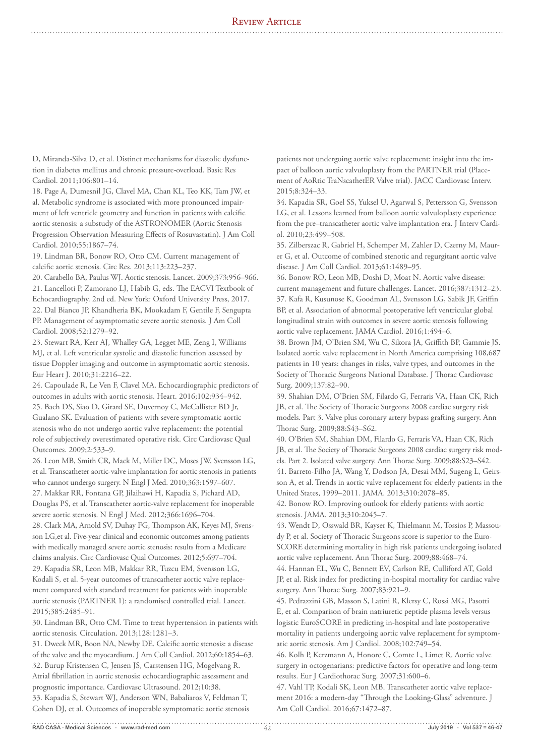# REVIEW ARTICLE

D, Miranda-Silva D, et al. Distinct mechanisms for diastolic dysfunction in diabetes mellitus and chronic pressure-overload. Basic Res Cardiol. 2011;106:801–14.

18. Page A, Dumesnil JG, Clavel MA, Chan KL, Teo KK, Tam JW, et al. Metabolic syndrome is associated with more pronounced impairment of left ventricle geometry and function in patients with calcific aortic stenosis: a substudy of the ASTRONOMER (Aortic Stenosis Progression Observation Measuring Effects of Rosuvastatin). J Am Coll Cardiol. 2010;55:1867–74.

19. Lindman BR, Bonow RO, Otto CM. Current management of calcific aortic stenosis. Circ Res. 2013;113:223–237.

20. Carabello BA, Paulus WJ. Aortic stenosis. Lancet. 2009;373:956–966. 21. Lancelloti P, Zamorano LJ, Habib G, eds. The EACVI Textbook of Echocardiography. 2nd ed. New York: Oxford University Press, 2017. 22. Dal Bianco JP, Khandheria BK, Mookadam F, Gentile F, Sengupta PP. Management of asymptomatic severe aortic stenosis. J Am Coll Cardiol. 2008;52:1279–92.

23. Stewart RA, Kerr AJ, Whalley GA, Legget ME, Zeng I, Williams MJ, et al. Left ventricular systolic and diastolic function assessed by tissue Doppler imaging and outcome in asymptomatic aortic stenosis. Eur Heart J. 2010;31:2216–22.

24. Capoulade R, Le Ven F, Clavel MA. Echocardiographic predictors of outcomes in adults with aortic stenosis. Heart. 2016;102:934–942. 25. Bach DS, Siao D, Girard SE, Duvernoy C, McCallister BD Jr, Gualano SK. Evaluation of patients with severe symptomatic aortic stenosis who do not undergo aortic valve replacement: the potential role of subjectively overestimated operative risk. Circ Cardiovasc Qual Outcomes. 2009;2:533–9.

26. Leon MB, Smith CR, Mack M, Miller DC, Moses JW, Svensson LG, et al. Transcatheter aortic-valve implantation for aortic stenosis in patients who cannot undergo surgery. N Engl J Med. 2010;363:1597–607. 27. Makkar RR, Fontana GP, Jilaihawi H, Kapadia S, Pichard AD,

Douglas PS, et al. Transcatheter aortic-valve replacement for inoperable severe aortic stenosis. N Engl J Med. 2012;366:1696–704.

28. Clark MA, Arnold SV, Duhay FG, Thompson AK, Keyes MJ, Svensson LG,et al. Five-year clinical and economic outcomes among patients with medically managed severe aortic stenosis: results from a Medicare claims analysis. Circ Cardiovasc Qual Outcomes. 2012;5:697–704. 29. Kapadia SR, Leon MB, Makkar RR, Tuzcu EM, Svensson LG, Kodali S, et al. 5-year outcomes of transcatheter aortic valve replacement compared with standard treatment for patients with inoperable aortic stenosis (PARTNER 1): a randomised controlled trial. Lancet. 2015;385:2485–91.

30. Lindman BR, Otto CM. Time to treat hypertension in patients with aortic stenosis. Circulation. 2013;128:1281–3.

31. Dweck MR, Boon NA, Newby DE. Calcific aortic stenosis: a disease of the valve and the myocardium. J Am Coll Cardiol. 2012;60:1854–63. 32. Burup Kristensen C, Jensen JS, Carstensen HG, Mogelvang R. Atrial fibrillation in aortic stenosis: echocardiographic assessment and prognostic importance. Cardiovasc Ultrasound. 2012;10:38. 33. Kapadia S, Stewart WJ, Anderson WN, Babaliaros V, Feldman T, Cohen DJ, et al. Outcomes of inoperable symptomatic aortic stenosis

patients not undergoing aortic valve replacement: insight into the impact of balloon aortic valvuloplasty from the PARTNER trial (Placement of AoRtic TraNscathetER Valve trial). JACC Cardiovasc Interv. 2015;8:324–33.

34. Kapadia SR, Goel SS, Yuksel U, Agarwal S, Pettersson G, Svensson LG, et al. Lessons learned from balloon aortic valvuloplasty experience from the pre–transcatheter aortic valve implantation era. J Interv Cardiol. 2010;23:499–508.

35. Zilberszac R, Gabriel H, Schemper M, Zahler D, Czerny M, Maurer G, et al. Outcome of combined stenotic and regurgitant aortic valve disease. J Am Coll Cardiol. 2013;61:1489–95.

36. Bonow RO, Leon MB, Doshi D, Moat N. Aortic valve disease: current management and future challenges. Lancet. 2016;387:1312–23. 37. Kafa R, Kusunose K, Goodman AL, Svensson LG, Sabik JF, Griffin BP, et al. Association of abnormal postoperative left ventricular global longitudinal strain with outcomes in severe aortic stenosis following aortic valve replacement. JAMA Cardiol. 2016;1:494–6.

38. Brown JM, O'Brien SM, Wu C, Sikora JA, Griffith BP, Gammie JS. Isolated aortic valve replacement in North America comprising 108,687 patients in 10 years: changes in risks, valve types, and outcomes in the Society of Thoracic Surgeons National Database. J Thorac Cardiovasc Surg. 2009;137:82–90.

39. Shahian DM, O'Brien SM, Filardo G, Ferraris VA, Haan CK, Rich JB, et al. The Society of Thoracic Surgeons 2008 cardiac surgery risk models. Part 3. Valve plus coronary artery bypass grafting surgery. Ann Thorac Surg. 2009;88:S43–S62.

40. O'Brien SM, Shahian DM, Filardo G, Ferraris VA, Haan CK, Rich JB, et al. The Society of Thoracic Surgeons 2008 cardiac surgery risk models. Part 2. Isolated valve surgery. Ann Thorac Surg. 2009;88:S23–S42. 41. Barreto-Filho JA, Wang Y, Dodson JA, Desai MM, Sugeng L, Geirsson A, et al. Trends in aortic valve replacement for elderly patients in the United States, 1999–2011. JAMA. 2013;310:2078–85.

42. Bonow RO. Improving outlook for elderly patients with aortic stenosis. JAMA. 2013;310:2045–7.

43. Wendt D, Osswald BR, Kayser K, Thielmann M, Tossios P, Massoudy P, et al. Society of Thoracic Surgeons score is superior to the Euro-SCORE determining mortality in high risk patients undergoing isolated aortic valve replacement. Ann Thorac Surg. 2009;88:468–74.

44. Hannan EL, Wu C, Bennett EV, Carlson RE, Culliford AT, Gold JP, et al. Risk index for predicting in-hospital mortality for cardiac valve surgery. Ann Thorac Surg. 2007;83:921–9.

45. Pedrazzini GB, Masson S, Latini R, Klersy C, Rossi MG, Pasotti E, et al. Comparison of brain natriuretic peptide plasma levels versus logistic EuroSCORE in predicting in-hospital and late postoperative mortality in patients undergoing aortic valve replacement for symptomatic aortic stenosis. Am J Cardiol. 2008;102:749–54.

46. Kolh P, Kerzmann A, Honore C, Comte L, Limet R. Aortic valve surgery in octogenarians: predictive factors for operative and long-term results. Eur J Cardiothorac Surg. 2007;31:600–6.

47. Vahl TP, Kodali SK, Leon MB. Transcatheter aortic valve replacement 2016: a modern-day "Through the Looking-Glass" adventure. J Am Coll Cardiol. 2016;67:1472–87.